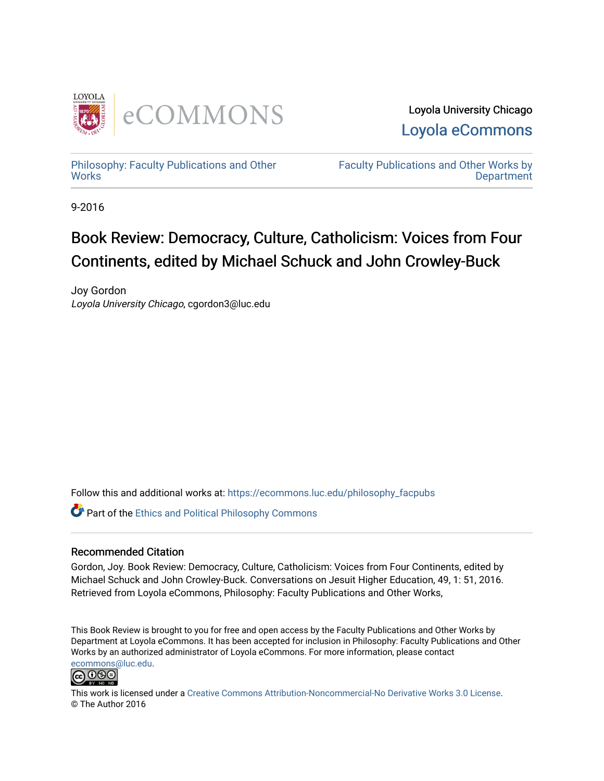

Loyola University Chicago [Loyola eCommons](https://ecommons.luc.edu/) 

[Philosophy: Faculty Publications and Other](https://ecommons.luc.edu/philosophy_facpubs) **Works** 

[Faculty Publications and Other Works by](https://ecommons.luc.edu/faculty)  **Department** 

9-2016

## Book Review: Democracy, Culture, Catholicism: Voices from Four Continents, edited by Michael Schuck and John Crowley-Buck

Joy Gordon Loyola University Chicago, cgordon3@luc.edu

Follow this and additional works at: [https://ecommons.luc.edu/philosophy\\_facpubs](https://ecommons.luc.edu/philosophy_facpubs?utm_source=ecommons.luc.edu%2Fphilosophy_facpubs%2F26&utm_medium=PDF&utm_campaign=PDFCoverPages)

Part of the [Ethics and Political Philosophy Commons](http://network.bepress.com/hgg/discipline/529?utm_source=ecommons.luc.edu%2Fphilosophy_facpubs%2F26&utm_medium=PDF&utm_campaign=PDFCoverPages) 

#### Recommended Citation

Gordon, Joy. Book Review: Democracy, Culture, Catholicism: Voices from Four Continents, edited by Michael Schuck and John Crowley-Buck. Conversations on Jesuit Higher Education, 49, 1: 51, 2016. Retrieved from Loyola eCommons, Philosophy: Faculty Publications and Other Works,

This Book Review is brought to you for free and open access by the Faculty Publications and Other Works by Department at Loyola eCommons. It has been accepted for inclusion in Philosophy: Faculty Publications and Other Works by an authorized administrator of Loyola eCommons. For more information, please contact [ecommons@luc.edu](mailto:ecommons@luc.edu).



This work is licensed under a [Creative Commons Attribution-Noncommercial-No Derivative Works 3.0 License.](https://creativecommons.org/licenses/by-nc-nd/3.0/) © The Author 2016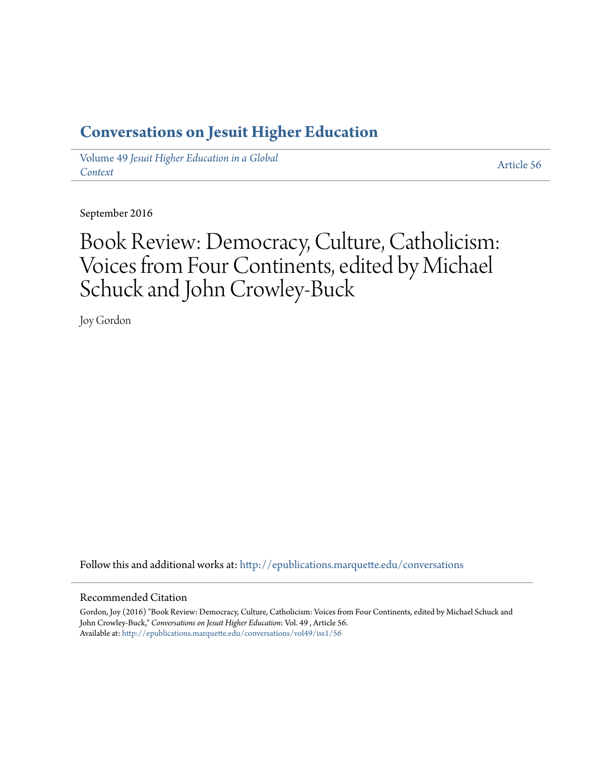### **[Conversations on Jesuit Higher Education](http://epublications.marquette.edu/conversations?utm_source=epublications.marquette.edu%2Fconversations%2Fvol49%2Fiss1%2F56&utm_medium=PDF&utm_campaign=PDFCoverPages)**

Volume 49 *[Jesuit Higher Education in a Global](http://epublications.marquette.edu/conversations/vol49?utm_source=epublications.marquette.edu%2Fconversations%2Fvol49%2Fiss1%2F56&utm_medium=PDF&utm_campaign=PDFCoverPages) [Context](http://epublications.marquette.edu/conversations/vol49?utm_source=epublications.marquette.edu%2Fconversations%2Fvol49%2Fiss1%2F56&utm_medium=PDF&utm_campaign=PDFCoverPages)*

[Article 56](http://epublications.marquette.edu/conversations/vol49/iss1/56?utm_source=epublications.marquette.edu%2Fconversations%2Fvol49%2Fiss1%2F56&utm_medium=PDF&utm_campaign=PDFCoverPages)

September 2016

# Book Review: Democracy, Culture, Catholicism: Voices from Four Continents, edited by Michael Schuck and John Crowley-Buck

Joy Gordon

Follow this and additional works at: [http://epublications.marquette.edu/conversations](http://epublications.marquette.edu/conversations?utm_source=epublications.marquette.edu%2Fconversations%2Fvol49%2Fiss1%2F56&utm_medium=PDF&utm_campaign=PDFCoverPages)

#### Recommended Citation

Gordon, Joy (2016) "Book Review: Democracy, Culture, Catholicism: Voices from Four Continents, edited by Michael Schuck and John Crowley-Buck," *Conversations on Jesuit Higher Education*: Vol. 49 , Article 56. Available at: [http://epublications.marquette.edu/conversations/vol49/iss1/56](http://epublications.marquette.edu/conversations/vol49/iss1/56?utm_source=epublications.marquette.edu%2Fconversations%2Fvol49%2Fiss1%2F56&utm_medium=PDF&utm_campaign=PDFCoverPages)